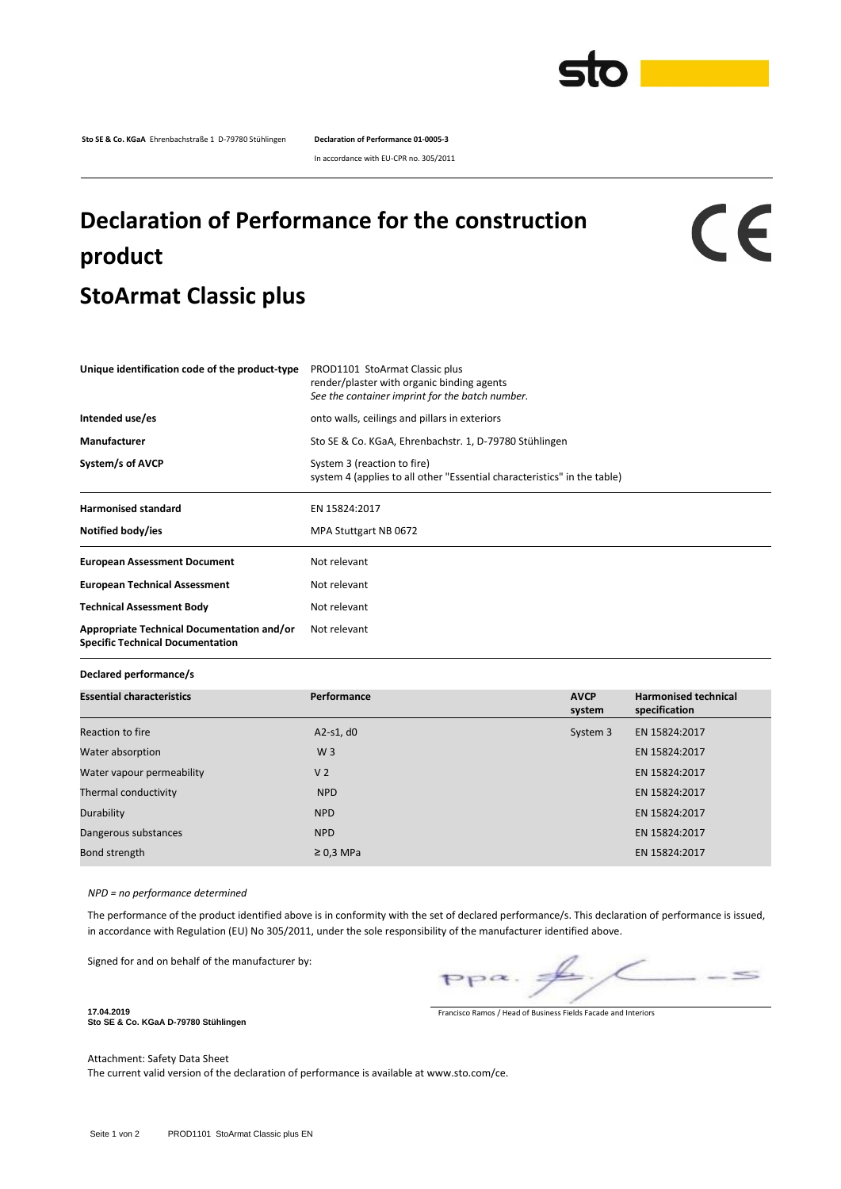

**Sto SE & Co. KGaA** Ehrenbachstraße 1 D-79780 Stühlingen **Declaration of Performance 01-0005-3**

In accordance with EU-CPR no. 305/2011

## **Declaration of Performance for the construction product StoArmat Classic plus**

## CE

| Unique identification code of the product-type                                        | PROD1101 StoArmat Classic plus<br>render/plaster with organic binding agents<br>See the container imprint for the batch number. |  |  |  |
|---------------------------------------------------------------------------------------|---------------------------------------------------------------------------------------------------------------------------------|--|--|--|
| Intended use/es                                                                       | onto walls, ceilings and pillars in exteriors                                                                                   |  |  |  |
| Manufacturer                                                                          | Sto SE & Co. KGaA, Ehrenbachstr. 1, D-79780 Stühlingen                                                                          |  |  |  |
| System/s of AVCP                                                                      | System 3 (reaction to fire)<br>system 4 (applies to all other "Essential characteristics" in the table)                         |  |  |  |
| <b>Harmonised standard</b>                                                            | EN 15824:2017                                                                                                                   |  |  |  |
| Notified body/ies                                                                     | MPA Stuttgart NB 0672                                                                                                           |  |  |  |
| <b>European Assessment Document</b>                                                   | Not relevant                                                                                                                    |  |  |  |
| <b>European Technical Assessment</b>                                                  | Not relevant                                                                                                                    |  |  |  |
| <b>Technical Assessment Body</b>                                                      | Not relevant                                                                                                                    |  |  |  |
| Appropriate Technical Documentation and/or<br><b>Specific Technical Documentation</b> | Not relevant                                                                                                                    |  |  |  |

## **Declared performance/s**

| <b>Essential characteristics</b> | Performance    | <b>AVCP</b><br>system | <b>Harmonised technical</b><br>specification |
|----------------------------------|----------------|-----------------------|----------------------------------------------|
| Reaction to fire                 | $A2-S1, d0$    | System 3              | EN 15824:2017                                |
| Water absorption                 | W <sub>3</sub> |                       | EN 15824:2017                                |
| Water vapour permeability        | V <sub>2</sub> |                       | EN 15824:2017                                |
| Thermal conductivity             | <b>NPD</b>     |                       | EN 15824:2017                                |
| Durability                       | <b>NPD</b>     |                       | EN 15824:2017                                |
| Dangerous substances             | <b>NPD</b>     |                       | EN 15824:2017                                |
| Bond strength                    | $\geq$ 0,3 MPa |                       | EN 15824:2017                                |

*NPD = no performance determined*

The performance of the product identified above is in conformity with the set of declared performance/s. This declaration of performance is issued, in accordance with Regulation (EU) No 305/2011, under the sole responsibility of the manufacturer identified above.

Signed for and on behalf of the manufacturer by:

 $\leq$ 

Francisco Ramos / Head of Business Fields Facade and Interiors

**Sto SE & Co. KGaA D-79780 Stühlingen**

**17.04.2019**

Attachment: Safety Data Sheet

The current valid version of the declaration of performance is available at www.sto.com/ce.